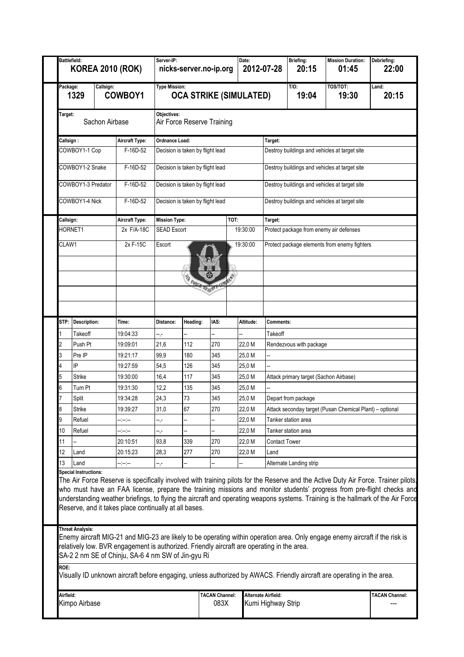| Package:<br>1329<br>Target:<br>Callsign:<br>COWBOY1-1 Cop | Callsign:<br>Sachon Airbase<br>COWBOY1-2 Snake<br>COWBOY1-3 Predator | COWBOY1<br>Aircraft Type: |                                                       |                                  |                           | Date:<br>2012-07-28 |                                              | 20:15                                         | 01:45                                                    | 22:00          |  |
|-----------------------------------------------------------|----------------------------------------------------------------------|---------------------------|-------------------------------------------------------|----------------------------------|---------------------------|---------------------|----------------------------------------------|-----------------------------------------------|----------------------------------------------------------|----------------|--|
|                                                           |                                                                      |                           | <b>Type Mission:</b><br><b>OCA STRIKE (SIMULATED)</b> |                                  |                           |                     |                                              | $T/O$ :<br>19:04                              | TOS/TOT:<br>19:30                                        | Land:<br>20:15 |  |
|                                                           |                                                                      |                           | Objectives:                                           | Air Force Reserve Training       |                           |                     |                                              |                                               |                                                          |                |  |
|                                                           |                                                                      |                           | <b>Ordnance Load:</b>                                 |                                  |                           |                     | Target:                                      |                                               |                                                          |                |  |
|                                                           |                                                                      | F-16D-52                  | Decision is taken by flight lead                      |                                  |                           |                     |                                              |                                               | Destroy buildings and vehicles at target site            |                |  |
|                                                           |                                                                      | F-16D-52                  |                                                       | Decision is taken by flight lead |                           |                     |                                              |                                               | Destroy buildings and vehicles at target site            |                |  |
|                                                           |                                                                      | F-16D-52                  | Decision is taken by flight lead                      |                                  |                           |                     |                                              | Destroy buildings and vehicles at target site |                                                          |                |  |
|                                                           | COWBOY1-4 Nick                                                       |                           |                                                       |                                  |                           |                     |                                              | Destroy buildings and vehicles at target site |                                                          |                |  |
|                                                           |                                                                      | F-16D-52                  |                                                       | Decision is taken by flight lead |                           |                     |                                              |                                               |                                                          |                |  |
| Callsign:                                                 |                                                                      | <b>Aircraft Type:</b>     | <b>Mission Type:</b><br>TOT:                          |                                  |                           |                     | Target:                                      |                                               |                                                          |                |  |
| HORNET1                                                   |                                                                      | 2x F/A-18C                | <b>SEAD Escort</b>                                    |                                  |                           | 19:30:00            |                                              |                                               | Protect package from enemy air defenses                  |                |  |
| CLAW1                                                     |                                                                      | 2x F-15C                  | Escort                                                | 19:30:00                         |                           |                     | Protect package elements from enemy fighters |                                               |                                                          |                |  |
|                                                           |                                                                      |                           |                                                       |                                  |                           |                     |                                              |                                               |                                                          |                |  |
|                                                           |                                                                      |                           |                                                       |                                  | $\bullet$                 |                     |                                              |                                               |                                                          |                |  |
|                                                           |                                                                      |                           |                                                       |                                  | THE FORCE RESERVE COMMAND |                     |                                              |                                               |                                                          |                |  |
|                                                           |                                                                      |                           |                                                       |                                  |                           |                     |                                              |                                               |                                                          |                |  |
|                                                           |                                                                      |                           |                                                       |                                  |                           |                     |                                              |                                               |                                                          |                |  |
| STP: Description:                                         |                                                                      | Time:                     | Distance:                                             | Heading:                         | IAS:                      | Altitude:           | Comments:                                    |                                               |                                                          |                |  |
|                                                           | Takeoff                                                              | 19:04:33                  | -- ,-                                                 |                                  |                           |                     | Takeoff                                      |                                               |                                                          |                |  |
| 2                                                         | Push Pt                                                              | 19:09:01                  | 21,6                                                  | 112                              | 270                       | 22,0 M              |                                              | Rendezvous with package                       |                                                          |                |  |
| Pre IP<br>3                                               |                                                                      | 19:21:17                  | 99,9                                                  | 180                              | 345                       | 25,0 M              |                                              |                                               |                                                          |                |  |
| IP                                                        |                                                                      | 19:27:59                  | 54,5                                                  | 126                              | 345                       | 25,0 M              |                                              |                                               |                                                          |                |  |
|                                                           |                                                                      |                           | 16,4                                                  | 117                              |                           |                     |                                              |                                               |                                                          |                |  |
| <b>Strike</b><br>5                                        |                                                                      | 19:30:00                  |                                                       |                                  | 345                       | 25,0 M              |                                              | Attack primary target (Sachon Airbase)        |                                                          |                |  |
| 6                                                         | Turn Pt                                                              | 19:31:30                  | 12,2                                                  | 135                              | 345                       | 25,0 M              |                                              |                                               |                                                          |                |  |
| Split                                                     |                                                                      | 19:34:28                  | 24,3                                                  | 73                               | 345                       | 25,0 M              |                                              | Depart from package                           |                                                          |                |  |
| Strike<br>8                                               |                                                                      | 19:39:27                  | 31,0                                                  | 67                               | 270                       | 22,0 M              |                                              |                                               | Attack seconday target (Pusan Chemical Plant) - optional |                |  |
| 9                                                         | Refuel                                                               | -- -- --                  | -,-                                                   |                                  |                           | 22,0 M              |                                              | Tanker station area                           |                                                          |                |  |
| 10<br>Refuel                                              |                                                                      | -----                     | -.-                                                   |                                  |                           | 22,0 M              |                                              | Tanker station area                           |                                                          |                |  |
| 11                                                        |                                                                      | 20:10:51                  | 93,8                                                  | 339                              | 270                       | 22,0 M              | <b>Contact Tower</b>                         |                                               |                                                          |                |  |
| 12<br>Land<br>13                                          |                                                                      | 20:15:23                  | 28,3                                                  | 277                              | 270                       | 22,0 M              | Land                                         | Alternate Landing strip                       |                                                          |                |  |